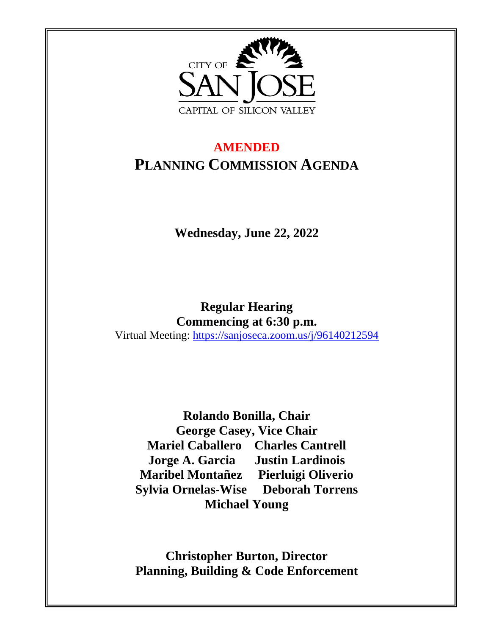

# **AMENDED PLANNING COMMISSION AGENDA**

**Wednesday, June 22, 2022** 

**Regular Hearing Commencing at 6:30 p.m.** Virtual Meeting:<https://sanjoseca.zoom.us/j/96140212594>

**Rolando Bonilla, Chair George Casey, Vice Chair Mariel Caballero Charles Cantrell Jorge A. Garcia Justin Lardinois Maribel Montañez Pierluigi Oliverio Sylvia Ornelas-Wise Deborah Torrens Michael Young**

**Christopher Burton, Director Planning, Building & Code Enforcement**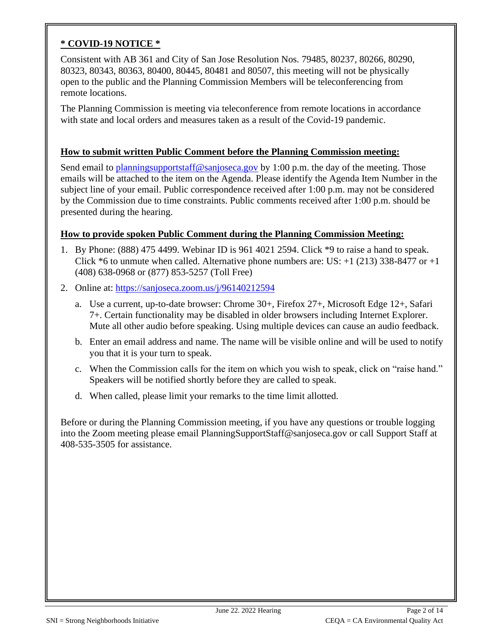#### **\* COVID-19 NOTICE \***

Consistent with AB 361 and City of San Jose Resolution Nos. 79485, 80237, 80266, 80290, 80323, 80343, 80363, 80400, 80445, 80481 and 80507, this meeting will not be physically open to the public and the Planning Commission Members will be teleconferencing from remote locations.

The Planning Commission is meeting via teleconference from remote locations in accordance with state and local orders and measures taken as a result of the Covid-19 pandemic.

#### **How to submit written Public Comment before the Planning Commission meeting:**

Send email to [planningsupportstaff@sanjoseca.gov](mailto:planningsupportstaff@sanjoseca.gov) by 1:00 p.m. the day of the meeting. Those emails will be attached to the item on the Agenda. Please identify the Agenda Item Number in the subject line of your email. Public correspondence received after 1:00 p.m. may not be considered by the Commission due to time constraints. Public comments received after 1:00 p.m. should be presented during the hearing.

#### **How to provide spoken Public Comment during the Planning Commission Meeting:**

- 1. By Phone: (888) 475 4499. Webinar ID is 961 4021 2594. Click \*9 to raise a hand to speak. Click  $*6$  to unmute when called. Alternative phone numbers are: US:  $+1$  (213) 338-8477 or  $+1$ (408) 638-0968 or (877) 853-5257 (Toll Free)
- 2. Online at:<https://sanjoseca.zoom.us/j/96140212594>
	- a. Use a current, up-to-date browser: Chrome 30+, Firefox 27+, Microsoft Edge 12+, Safari 7+. Certain functionality may be disabled in older browsers including Internet Explorer. Mute all other audio before speaking. Using multiple devices can cause an audio feedback.
	- b. Enter an email address and name. The name will be visible online and will be used to notify you that it is your turn to speak.
	- c. When the Commission calls for the item on which you wish to speak, click on "raise hand." Speakers will be notified shortly before they are called to speak.
	- d. When called, please limit your remarks to the time limit allotted.

Before or during the Planning Commission meeting, if you have any questions or trouble logging into the Zoom meeting please email PlanningSupportStaff@sanjoseca.gov or call Support Staff at 408-535-3505 for assistance.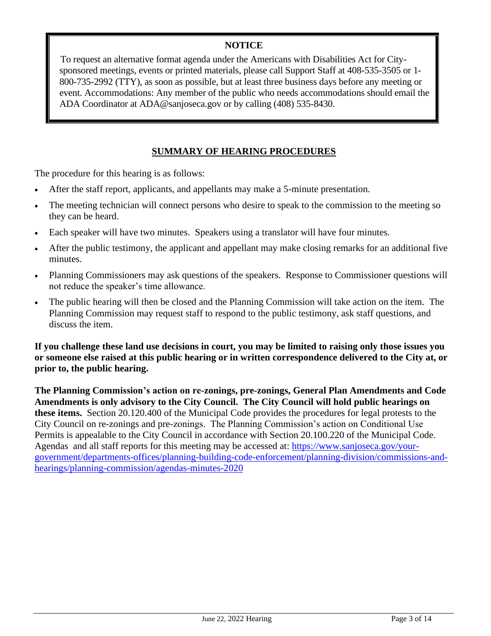#### **NOTICE**

To request an alternative format agenda under the Americans with Disabilities Act for Citysponsored meetings, events or printed materials, please call Support Staff at 408-535-3505 or 1- 800-735-2992 (TTY), as soon as possible, but at least three business days before any meeting or event. Accommodations: Any member of the public who needs accommodations should email the ADA Coordinator at ADA@sanjoseca.gov or by calling (408) 535-8430.

#### **SUMMARY OF HEARING PROCEDURES**

The procedure for this hearing is as follows:

- After the staff report, applicants, and appellants may make a 5-minute presentation.
- The meeting technician will connect persons who desire to speak to the commission to the meeting so they can be heard.
- Each speaker will have two minutes. Speakers using a translator will have four minutes.
- After the public testimony, the applicant and appellant may make closing remarks for an additional five minutes.
- Planning Commissioners may ask questions of the speakers. Response to Commissioner questions will not reduce the speaker's time allowance.
- The public hearing will then be closed and the Planning Commission will take action on the item. The Planning Commission may request staff to respond to the public testimony, ask staff questions, and discuss the item.

**If you challenge these land use decisions in court, you may be limited to raising only those issues you or someone else raised at this public hearing or in written correspondence delivered to the City at, or prior to, the public hearing.** 

**The Planning Commission's action on re-zonings, pre-zonings, General Plan Amendments and Code Amendments is only advisory to the City Council. The City Council will hold public hearings on these items.** Section 20.120.400 of the Municipal Code provides the procedures for legal protests to the City Council on re-zonings and pre-zonings. The Planning Commission's action on Conditional Use Permits is appealable to the City Council in accordance with Section 20.100.220 of the Municipal Code. Agendas and all staff reports for this meeting may be accessed at: [https://www.sanjoseca.gov/your](https://www.sanjoseca.gov/your-government/departments-offices/planning-building-code-enforcement/planning-division/commissions-and-hearings/planning-commission/agendas-minutes-2020)[government/departments-offices/planning-building-code-enforcement/planning-division/commissions-and](https://www.sanjoseca.gov/your-government/departments-offices/planning-building-code-enforcement/planning-division/commissions-and-hearings/planning-commission/agendas-minutes-2020)[hearings/planning-commission/agendas-minutes-2020](https://www.sanjoseca.gov/your-government/departments-offices/planning-building-code-enforcement/planning-division/commissions-and-hearings/planning-commission/agendas-minutes-2020)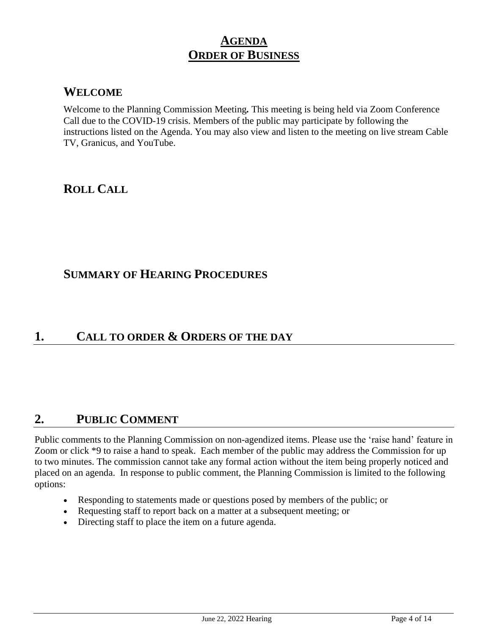## **AGENDA ORDER OF BUSINESS**

### **WELCOME**

Welcome to the Planning Commission Meeting*.* This meeting is being held via Zoom Conference Call due to the COVID-19 crisis. Members of the public may participate by following the instructions listed on the Agenda. You may also view and listen to the meeting on live stream Cable TV, Granicus, and YouTube.

## **ROLL CALL**

### **SUMMARY OF HEARING PROCEDURES**

### **1. CALL TO ORDER & ORDERS OF THE DAY**

## **2. PUBLIC COMMENT**

Public comments to the Planning Commission on non-agendized items. Please use the 'raise hand' feature in Zoom or click \*9 to raise a hand to speak. Each member of the public may address the Commission for up to two minutes. The commission cannot take any formal action without the item being properly noticed and placed on an agenda. In response to public comment, the Planning Commission is limited to the following options:

- Responding to statements made or questions posed by members of the public; or
- Requesting staff to report back on a matter at a subsequent meeting; or
- Directing staff to place the item on a future agenda.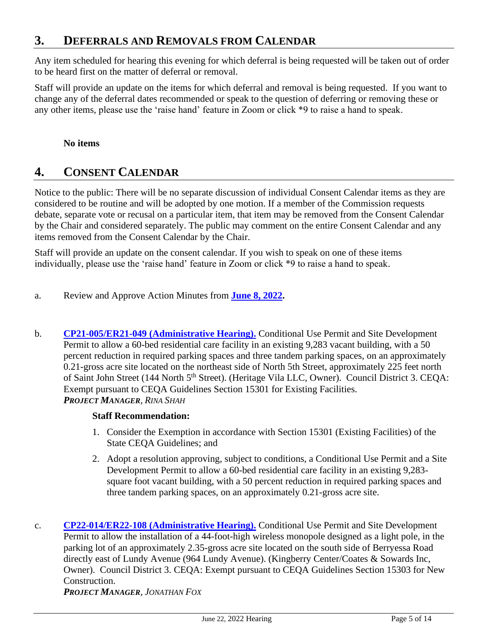## **3. DEFERRALS AND REMOVALS FROM CALENDAR**

Any item scheduled for hearing this evening for which deferral is being requested will be taken out of order to be heard first on the matter of deferral or removal.

Staff will provide an update on the items for which deferral and removal is being requested. If you want to change any of the deferral dates recommended or speak to the question of deferring or removing these or any other items, please use the 'raise hand' feature in Zoom or click \*9 to raise a hand to speak.

#### **No items**

## **4. CONSENT CALENDAR**

Notice to the public: There will be no separate discussion of individual Consent Calendar items as they are considered to be routine and will be adopted by one motion. If a member of the Commission requests debate, separate vote or recusal on a particular item, that item may be removed from the Consent Calendar by the Chair and considered separately. The public may comment on the entire Consent Calendar and any items removed from the Consent Calendar by the Chair.

Staff will provide an update on the consent calendar. If you wish to speak on one of these items individually, please use the 'raise hand' feature in Zoom or click \*9 to raise a hand to speak.

- a. Review and Approve Action Minutes from **[June 8, 2022.](https://www.sanjoseca.gov/home/showdocument?id=87183)**
- b. **CP21-005/ER21-049 [\(Administrative Hearing\).](https://www.sanjoseca.gov/home/showdocument?id=87169)** Conditional Use Permit and Site Development Permit to allow a 60-bed residential care facility in an existing 9,283 vacant building, with a 50 percent reduction in required parking spaces and three tandem parking spaces, on an approximately 0.21-gross acre site located on the northeast side of North 5th Street, approximately 225 feet north of Saint John Street (144 North 5<sup>th</sup> Street). (Heritage Vila LLC, Owner). Council District 3. CEQA: Exempt pursuant to CEQA Guidelines Section 15301 for Existing Facilities. *PROJECT MANAGER, RINA SHAH*

#### **Staff Recommendation:**

- 1. Consider the Exemption in accordance with Section 15301 (Existing Facilities) of the State CEQA Guidelines; and
- 2. Adopt a resolution approving, subject to conditions, a Conditional Use Permit and a Site Development Permit to allow a 60-bed residential care facility in an existing 9,283 square foot vacant building, with a 50 percent reduction in required parking spaces and three tandem parking spaces, on an approximately 0.21-gross acre site.
- c. **[CP22-014/ER22-108 \(Administrative Hearing\).](https://www.sanjoseca.gov/home/showdocument?id=87171)** Conditional Use Permit and Site Development Permit to allow the installation of a 44-foot-high wireless monopole designed as a light pole, in the parking lot of an approximately 2.35-gross acre site located on the south side of Berryessa Road directly east of Lundy Avenue (964 Lundy Avenue). (Kingberry Center/Coates & Sowards Inc, Owner). Council District 3. CEQA: Exempt pursuant to CEQA Guidelines Section 15303 for New Construction.

*PROJECT MANAGER, JONATHAN FOX*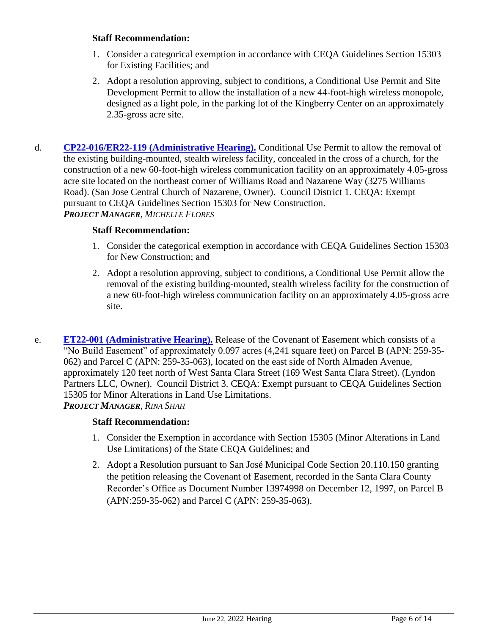#### **Staff Recommendation:**

- 1. Consider a categorical exemption in accordance with CEQA Guidelines Section 15303 for Existing Facilities; and
- 2. Adopt a resolution approving, subject to conditions, a Conditional Use Permit and Site Development Permit to allow the installation of a new 44-foot-high wireless monopole, designed as a light pole, in the parking lot of the Kingberry Center on an approximately 2.35-gross acre site.
- d. **[CP22-016/ER22-119 \(Administrative Hearing\).](https://www.sanjoseca.gov/home/showdocument?id=87173)** Conditional Use Permit to allow the removal of the existing building-mounted, stealth wireless facility, concealed in the cross of a church, for the construction of a new 60-foot-high wireless communication facility on an approximately 4.05-gross acre site located on the northeast corner of Williams Road and Nazarene Way (3275 Williams Road). (San Jose Central Church of Nazarene, Owner). Council District 1. CEQA: Exempt pursuant to CEQA Guidelines Section 15303 for New Construction. *PROJECT MANAGER, MICHELLE FLORES*

#### **Staff Recommendation:**

- 1. Consider the categorical exemption in accordance with CEQA Guidelines Section 15303 for New Construction; and
- 2. Adopt a resolution approving, subject to conditions, a Conditional Use Permit allow the removal of the existing building-mounted, stealth wireless facility for the construction of a new 60-foot-high wireless communication facility on an approximately 4.05-gross acre site.
- e. **[ET22-001 \(Administrative Hearing\).](https://www.sanjoseca.gov/home/showdocument?id=87175)** Release of the Covenant of Easement which consists of a "No Build Easement" of approximately 0.097 acres (4,241 square feet) on Parcel B (APN: 259-35- 062) and Parcel C (APN: 259-35-063), located on the east side of North Almaden Avenue, approximately 120 feet north of West Santa Clara Street (169 West Santa Clara Street). (Lyndon Partners LLC, Owner). Council District 3. CEQA: Exempt pursuant to CEQA Guidelines Section 15305 for Minor Alterations in Land Use Limitations. *PROJECT MANAGER, RINA SHAH*

#### **Staff Recommendation:**

- 1. Consider the Exemption in accordance with Section 15305 (Minor Alterations in Land Use Limitations) of the State CEQA Guidelines; and
- 2. Adopt a Resolution pursuant to San José Municipal Code Section 20.110.150 granting the petition releasing the Covenant of Easement, recorded in the Santa Clara County Recorder's Office as Document Number 13974998 on December 12, 1997, on Parcel B (APN:259-35-062) and Parcel C (APN: 259-35-063).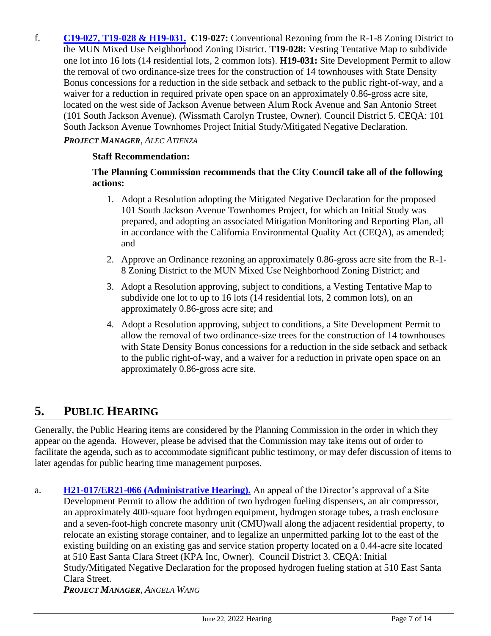f. **[C19-027, T19-028 & H19-031.](https://www.sanjoseca.gov/home/showdocument?id=87177) C19-027:** Conventional Rezoning from the R-1-8 Zoning District to the MUN Mixed Use Neighborhood Zoning District. **T19-028:** Vesting Tentative Map to subdivide one lot into 16 lots (14 residential lots, 2 common lots). **H19-031:** Site Development Permit to allow the removal of two ordinance-size trees for the construction of 14 townhouses with State Density Bonus concessions for a reduction in the side setback and setback to the public right-of-way, and a waiver for a reduction in required private open space on an approximately 0.86-gross acre site, located on the west side of Jackson Avenue between Alum Rock Avenue and San Antonio Street (101 South Jackson Avenue). (Wissmath Carolyn Trustee, Owner). Council District 5. CEQA: 101 South Jackson Avenue Townhomes Project Initial Study/Mitigated Negative Declaration.

#### *PROJECT MANAGER, ALEC ATIENZA*

#### **Staff Recommendation:**

#### **The Planning Commission recommends that the City Council take all of the following actions:**

- 1. Adopt a Resolution adopting the Mitigated Negative Declaration for the proposed 101 South Jackson Avenue Townhomes Project, for which an Initial Study was prepared, and adopting an associated Mitigation Monitoring and Reporting Plan, all in accordance with the California Environmental Quality Act (CEQA), as amended; and
- 2. Approve an Ordinance rezoning an approximately 0.86-gross acre site from the R-1- 8 Zoning District to the MUN Mixed Use Neighborhood Zoning District; and
- 3. Adopt a Resolution approving, subject to conditions, a Vesting Tentative Map to subdivide one lot to up to 16 lots (14 residential lots, 2 common lots), on an approximately 0.86-gross acre site; and
- 4. Adopt a Resolution approving, subject to conditions, a Site Development Permit to allow the removal of two ordinance-size trees for the construction of 14 townhouses with State Density Bonus concessions for a reduction in the side setback and setback to the public right-of-way, and a waiver for a reduction in private open space on an approximately 0.86-gross acre site.

## **5. PUBLIC HEARING**

Generally, the Public Hearing items are considered by the Planning Commission in the order in which they appear on the agenda. However, please be advised that the Commission may take items out of order to facilitate the agenda, such as to accommodate significant public testimony, or may defer discussion of items to later agendas for public hearing time management purposes.

a. **[H21-017/ER21-066 \(Administrative Hearing\).](https://www.sanjoseca.gov/home/showdocument?id=87179)** An appeal of the Director's approval of a Site Development Permit to allow the addition of two hydrogen fueling dispensers, an air compressor, an approximately 400-square foot hydrogen equipment, hydrogen storage tubes, a trash enclosure and a seven-foot-high concrete masonry unit (CMU)wall along the adjacent residential property, to relocate an existing storage container, and to legalize an unpermitted parking lot to the east of the existing building on an existing gas and service station property located on a 0.44-acre site located at 510 East Santa Clara Street (KPA Inc, Owner). Council District 3. CEQA: Initial Study/Mitigated Negative Declaration for the proposed hydrogen fueling station at 510 East Santa Clara Street. *PROJECT MANAGER, ANGELA WANG*

June 22, 2022 Hearing Page 7 of 14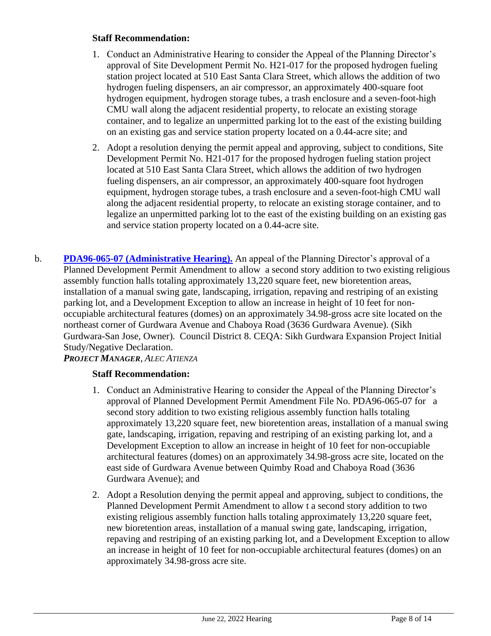#### **Staff Recommendation:**

- 1. Conduct an Administrative Hearing to consider the Appeal of the Planning Director's approval of Site Development Permit No. H21-017 for the proposed hydrogen fueling station project located at 510 East Santa Clara Street, which allows the addition of two hydrogen fueling dispensers, an air compressor, an approximately 400-square foot hydrogen equipment, hydrogen storage tubes, a trash enclosure and a seven-foot-high CMU wall along the adjacent residential property, to relocate an existing storage container, and to legalize an unpermitted parking lot to the east of the existing building on an existing gas and service station property located on a 0.44-acre site; and
- 2. Adopt a resolution denying the permit appeal and approving, subject to conditions, Site Development Permit No. H21-017 for the proposed hydrogen fueling station project located at 510 East Santa Clara Street, which allows the addition of two hydrogen fueling dispensers, an air compressor, an approximately 400-square foot hydrogen equipment, hydrogen storage tubes, a trash enclosure and a seven-foot-high CMU wall along the adjacent residential property, to relocate an existing storage container, and to legalize an unpermitted parking lot to the east of the existing building on an existing gas and service station property located on a 0.44-acre site.
- b. **PDA96-065-07 [\(Administrative Hearing\).](https://www.sanjoseca.gov/home/showdocument?id=87181)** An appeal of the Planning Director's approval of a Planned Development Permit Amendment to allow a second story addition to two existing religious assembly function halls totaling approximately 13,220 square feet, new bioretention areas, installation of a manual swing gate, landscaping, irrigation, repaving and restriping of an existing parking lot, and a Development Exception to allow an increase in height of 10 feet for nonoccupiable architectural features (domes) on an approximately 34.98-gross acre site located on the northeast corner of Gurdwara Avenue and Chaboya Road (3636 Gurdwara Avenue). (Sikh Gurdwara-San Jose, Owner). Council District 8. CEQA: Sikh Gurdwara Expansion Project Initial Study/Negative Declaration.

#### *PROJECT MANAGER, ALEC ATIENZA*

#### **Staff Recommendation:**

- 1. Conduct an Administrative Hearing to consider the Appeal of the Planning Director's approval of Planned Development Permit Amendment File No. PDA96-065-07 for a second story addition to two existing religious assembly function halls totaling approximately 13,220 square feet, new bioretention areas, installation of a manual swing gate, landscaping, irrigation, repaving and restriping of an existing parking lot, and a Development Exception to allow an increase in height of 10 feet for non-occupiable architectural features (domes) on an approximately 34.98-gross acre site, located on the east side of Gurdwara Avenue between Quimby Road and Chaboya Road (3636 Gurdwara Avenue); and
- 2. Adopt a Resolution denying the permit appeal and approving, subject to conditions, the Planned Development Permit Amendment to allow t a second story addition to two existing religious assembly function halls totaling approximately 13,220 square feet, new bioretention areas, installation of a manual swing gate, landscaping, irrigation, repaving and restriping of an existing parking lot, and a Development Exception to allow an increase in height of 10 feet for non-occupiable architectural features (domes) on an approximately 34.98-gross acre site.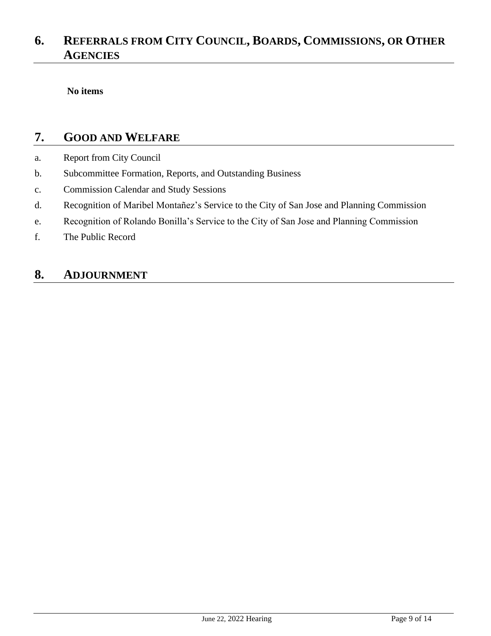## **6. REFERRALS FROM CITY COUNCIL, BOARDS, COMMISSIONS, OR OTHER AGENCIES**

**No items**

### **7. GOOD AND WELFARE**

- a. Report from City Council
- b. Subcommittee Formation, Reports, and Outstanding Business
- c. Commission Calendar and Study Sessions
- d. Recognition of Maribel Montañez's Service to the City of San Jose and Planning Commission
- e. Recognition of Rolando Bonilla's Service to the City of San Jose and Planning Commission
- f. The Public Record

## **8. ADJOURNMENT**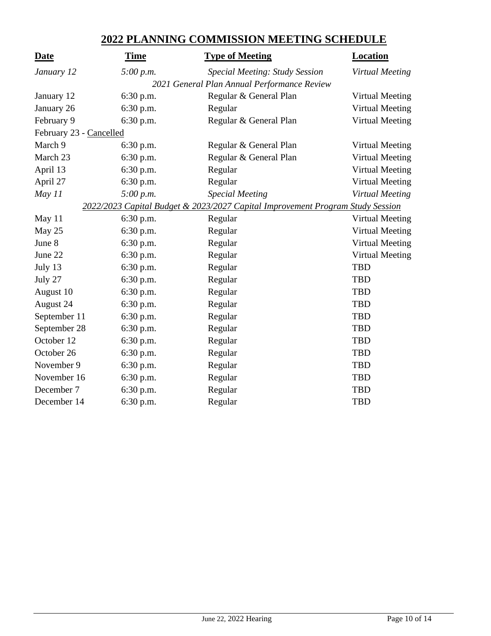### **2022 PLANNING COMMISSION MEETING SCHEDULE**

| <b>Date</b>                                                                    | <b>Time</b> | <b>Type of Meeting</b>         | <b>Location</b>        |
|--------------------------------------------------------------------------------|-------------|--------------------------------|------------------------|
| January 12                                                                     | 5:00 p.m.   | Special Meeting: Study Session | Virtual Meeting        |
| 2021 General Plan Annual Performance Review                                    |             |                                |                        |
| January 12                                                                     | 6:30 p.m.   | Regular & General Plan         | <b>Virtual Meeting</b> |
| January 26                                                                     | 6:30 p.m.   | Regular                        | <b>Virtual Meeting</b> |
| February 9                                                                     | 6:30 p.m.   | Regular & General Plan         | <b>Virtual Meeting</b> |
| February 23 - Cancelled                                                        |             |                                |                        |
| March 9                                                                        | 6:30 p.m.   | Regular & General Plan         | <b>Virtual Meeting</b> |
| March 23                                                                       | 6:30 p.m.   | Regular & General Plan         | <b>Virtual Meeting</b> |
| April 13                                                                       | 6:30 p.m.   | Regular                        | <b>Virtual Meeting</b> |
| April 27                                                                       | 6:30 p.m.   | Regular                        | <b>Virtual Meeting</b> |
| May 11                                                                         | 5:00 p.m.   | <b>Special Meeting</b>         | Virtual Meeting        |
| 2022/2023 Capital Budget & 2023/2027 Capital Improvement Program Study Session |             |                                |                        |
| May 11                                                                         | 6:30 p.m.   | Regular                        | <b>Virtual Meeting</b> |
| May 25                                                                         | 6:30 p.m.   | Regular                        | <b>Virtual Meeting</b> |
| June 8                                                                         | 6:30 p.m.   | Regular                        | <b>Virtual Meeting</b> |
| June 22                                                                        | 6:30 p.m.   | Regular                        | <b>Virtual Meeting</b> |
| July 13                                                                        | 6:30 p.m.   | Regular                        | <b>TBD</b>             |
| July 27                                                                        | 6:30 p.m.   | Regular                        | <b>TBD</b>             |
| August 10                                                                      | 6:30 p.m.   | Regular                        | <b>TBD</b>             |
| August 24                                                                      | 6:30 p.m.   | Regular                        | <b>TBD</b>             |
| September 11                                                                   | 6:30 p.m.   | Regular                        | <b>TBD</b>             |
| September 28                                                                   | 6:30 p.m.   | Regular                        | <b>TBD</b>             |
| October 12                                                                     | 6:30 p.m.   | Regular                        | <b>TBD</b>             |
| October 26                                                                     | 6:30 p.m.   | Regular                        | <b>TBD</b>             |
| November 9                                                                     | 6:30 p.m.   | Regular                        | <b>TBD</b>             |
| November 16                                                                    | 6:30 p.m.   | Regular                        | <b>TBD</b>             |
| December 7                                                                     | 6:30 p.m.   | Regular                        | <b>TBD</b>             |
| December 14                                                                    | 6:30 p.m.   | Regular                        | <b>TBD</b>             |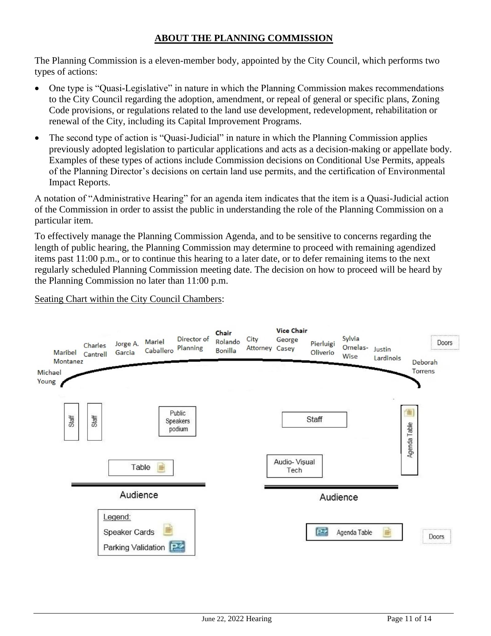#### **ABOUT THE PLANNING COMMISSION**

The Planning Commission is a eleven-member body, appointed by the City Council, which performs two types of actions:

- One type is "Quasi-Legislative" in nature in which the Planning Commission makes recommendations to the City Council regarding the adoption, amendment, or repeal of general or specific plans, Zoning Code provisions, or regulations related to the land use development, redevelopment, rehabilitation or renewal of the City, including its Capital Improvement Programs.
- The second type of action is "Quasi-Judicial" in nature in which the Planning Commission applies previously adopted legislation to particular applications and acts as a decision-making or appellate body. Examples of these types of actions include Commission decisions on Conditional Use Permits, appeals of the Planning Director's decisions on certain land use permits, and the certification of Environmental Impact Reports.

A notation of "Administrative Hearing" for an agenda item indicates that the item is a Quasi-Judicial action of the Commission in order to assist the public in understanding the role of the Planning Commission on a particular item.

To effectively manage the Planning Commission Agenda, and to be sensitive to concerns regarding the length of public hearing, the Planning Commission may determine to proceed with remaining agendized items past 11:00 p.m., or to continue this hearing to a later date, or to defer remaining items to the next regularly scheduled Planning Commission meeting date. The decision on how to proceed will be heard by the Planning Commission no later than 11:00 p.m.

#### Seating Chart within the City Council Chambers:

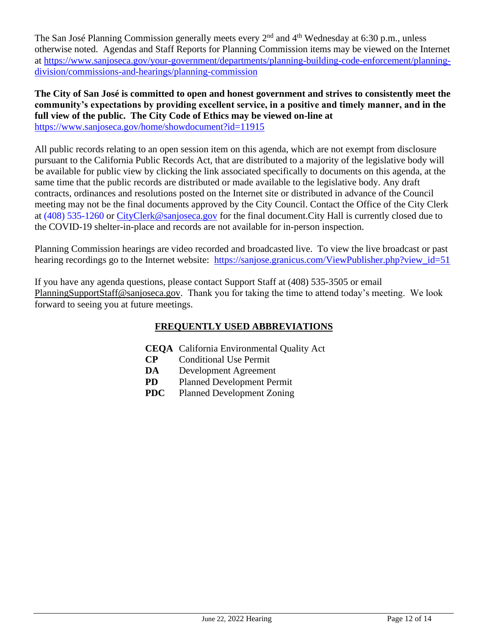The San José Planning Commission generally meets every  $2<sup>nd</sup>$  and  $4<sup>th</sup>$  Wednesday at 6:30 p.m., unless otherwise noted. Agendas and Staff Reports for Planning Commission items may be viewed on the Internet at [https://www.sanjoseca.gov/your-government/departments/planning-building-code-enforcement/planning](https://www.sanjoseca.gov/your-government/departments/planning-building-code-enforcement/planning-division/commissions-and-hearings/planning-commission)[division/commissions-and-hearings/planning-commission](https://www.sanjoseca.gov/your-government/departments/planning-building-code-enforcement/planning-division/commissions-and-hearings/planning-commission)

**The City of San José is committed to open and honest government and strives to consistently meet the community's expectations by providing excellent service, in a positive and timely manner, and in the full view of the public. The City Code of Ethics may be viewed on-line at** <https://www.sanjoseca.gov/home/showdocument?id=11915>

All public records relating to an open session item on this agenda, which are not exempt from disclosure pursuant to the California Public Records Act, that are distributed to a majority of the legislative body will be available for public view by clicking the link associated specifically to documents on this agenda, at the same time that the public records are distributed or made available to the legislative body. Any draft contracts, ordinances and resolutions posted on the Internet site or distributed in advance of the Council meeting may not be the final documents approved by the City Council. Contact the Office of the City Clerk at (408) 535-1260 or [CityClerk@sanjoseca.gov](mailto:CityClerk@sanjoseca.gov) for the final document.City Hall is currently closed due to the COVID-19 shelter-in-place and records are not available for in-person inspection.

Planning Commission hearings are video recorded and broadcasted live. To view the live broadcast or past hearing recordings go to the Internet website: [https://sanjose.granicus.com/ViewPublisher.php?view\\_id=51](https://sanjose.granicus.com/ViewPublisher.php?view_id=51)

If you have any agenda questions, please contact Support Staff at (408) 535-3505 or email [PlanningSupportStaff@sanjoseca.gov.](mailto:PlanningSupportStaff@sanjoseca.gov) Thank you for taking the time to attend today's meeting. We look forward to seeing you at future meetings.

### **FREQUENTLY USED ABBREVIATIONS**

- **CEQA** California Environmental Quality Act
- **CP** Conditional Use Permit
- **DA** Development Agreement
- **PD** Planned Development Permit
- **PDC** Planned Development Zoning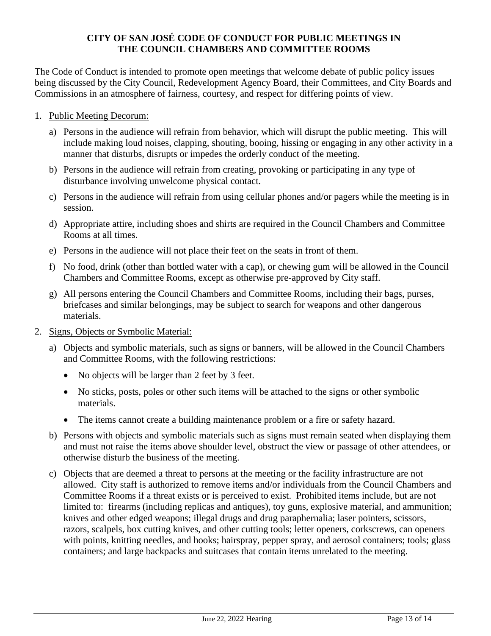#### **CITY OF SAN JOSÉ CODE OF CONDUCT FOR PUBLIC MEETINGS IN THE COUNCIL CHAMBERS AND COMMITTEE ROOMS**

The Code of Conduct is intended to promote open meetings that welcome debate of public policy issues being discussed by the City Council, Redevelopment Agency Board, their Committees, and City Boards and Commissions in an atmosphere of fairness, courtesy, and respect for differing points of view.

- 1. Public Meeting Decorum:
	- a) Persons in the audience will refrain from behavior, which will disrupt the public meeting. This will include making loud noises, clapping, shouting, booing, hissing or engaging in any other activity in a manner that disturbs, disrupts or impedes the orderly conduct of the meeting.
	- b) Persons in the audience will refrain from creating, provoking or participating in any type of disturbance involving unwelcome physical contact.
	- c) Persons in the audience will refrain from using cellular phones and/or pagers while the meeting is in session.
	- d) Appropriate attire, including shoes and shirts are required in the Council Chambers and Committee Rooms at all times.
	- e) Persons in the audience will not place their feet on the seats in front of them.
	- f) No food, drink (other than bottled water with a cap), or chewing gum will be allowed in the Council Chambers and Committee Rooms, except as otherwise pre-approved by City staff.
	- g) All persons entering the Council Chambers and Committee Rooms, including their bags, purses, briefcases and similar belongings, may be subject to search for weapons and other dangerous materials.
- 2. Signs, Objects or Symbolic Material:
	- a) Objects and symbolic materials, such as signs or banners, will be allowed in the Council Chambers and Committee Rooms, with the following restrictions:
		- No objects will be larger than 2 feet by 3 feet.
		- No sticks, posts, poles or other such items will be attached to the signs or other symbolic materials.
		- The items cannot create a building maintenance problem or a fire or safety hazard.
	- b) Persons with objects and symbolic materials such as signs must remain seated when displaying them and must not raise the items above shoulder level, obstruct the view or passage of other attendees, or otherwise disturb the business of the meeting.
	- c) Objects that are deemed a threat to persons at the meeting or the facility infrastructure are not allowed. City staff is authorized to remove items and/or individuals from the Council Chambers and Committee Rooms if a threat exists or is perceived to exist. Prohibited items include, but are not limited to: firearms (including replicas and antiques), toy guns, explosive material, and ammunition; knives and other edged weapons; illegal drugs and drug paraphernalia; laser pointers, scissors, razors, scalpels, box cutting knives, and other cutting tools; letter openers, corkscrews, can openers with points, knitting needles, and hooks; hairspray, pepper spray, and aerosol containers; tools; glass containers; and large backpacks and suitcases that contain items unrelated to the meeting.